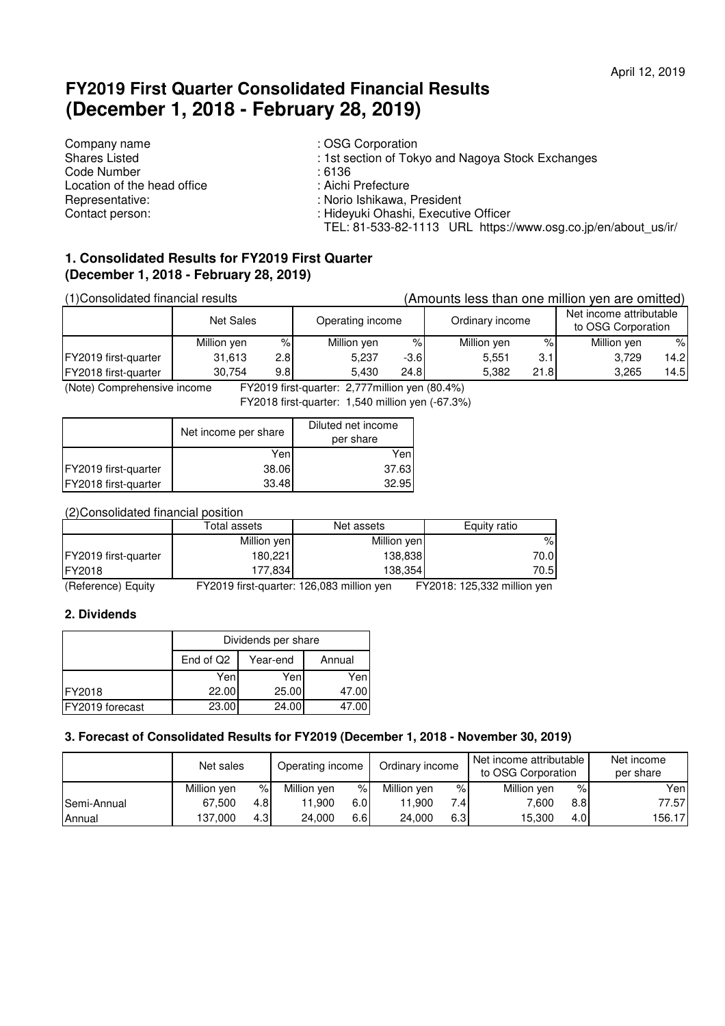# **FY2019 First Quarter Consolidated Financial Results (December 1, 2018 - February 28, 2019)**

Company name<br>
Shares Listed<br>
Shares Listed<br>
Shares Company is the Shares Company of Tok Code Number<br>
Location of the head office<br>
Location of the head office<br>
in the section of the head office<br>
Code 1990 in the section of the head office<br>
Code Number Location of the head office<br>Representative: Representative:<br>
Contact person:<br>
Contact person:<br>
Contact person:<br>
Contact person:<br>
Contact person:<br>
Contact person:<br>
Contact person:<br>
Contact person:

: 1st section of Tokyo and Nagoya Stock Exchanges<br>: 6136

- 
- 
- 
- : Hideyuki Ohashi, Executive Officer
- TEL: 81-533-82-1113 URL https://www.osg.co.jp/en/about\_us/ir/

# **1. Consolidated Results for FY2019 First Quarter (December 1, 2018 - February 28, 2019)**

| (1) Consolidated financial results |             |                  |                  |        | (Amounts less than one million yen are omitted) |      |                                               |      |
|------------------------------------|-------------|------------------|------------------|--------|-------------------------------------------------|------|-----------------------------------------------|------|
|                                    | Net Sales   |                  | Operating income |        | Ordinary income                                 |      | Net income attributable<br>to OSG Corporation |      |
|                                    | Million yen | $\%$             | Million yen      | %۱     | Million yen                                     | %    | Million yen                                   | $\%$ |
| FY2019 first-quarter               | 31.613      | 2.8              | 5,237            | $-3.6$ | 5.551                                           | 3.1  | 3.729                                         | 14.2 |
| FY2018 first-quarter               | 30.754      | 9.8 <sub>l</sub> | 5.430            | 24.8   | 5.382                                           | 21.8 | 3.265                                         | 14.5 |

(Note) Comprehensive income FY2019 first-quarter: 2,777million yen (80.4%)

FY2018 first-quarter: 1,540 million yen (-67.3%)

|                      | Net income per share | Diluted net income<br>per share |
|----------------------|----------------------|---------------------------------|
|                      | Yen                  | Yenl                            |
| FY2019 first-quarter | 38.06                | 37.63                           |
| FY2018 first-quarter | 33.48                | 32.95                           |

(2)Consolidated financial position

|                      | Total assets | Net assets  | Equity ratio |
|----------------------|--------------|-------------|--------------|
|                      | Million yen  | Million yen | ℅            |
| FY2019 first-quarter | 180,221      | 138,838     | 70.01        |
| FY2018               | 177,834      | 138,354     | 70.51        |

(Reference) Equity FY2019 first-quarter: 126,083 million yen FY2018: 125,332 million yen

## **2. Dividends**

|                 | Dividends per share                         |       |       |  |  |
|-----------------|---------------------------------------------|-------|-------|--|--|
|                 | End of Q <sub>2</sub><br>Year-end<br>Annual |       |       |  |  |
|                 | Yen                                         | Yen   | Yen   |  |  |
| <b>IFY2018</b>  | 22.00                                       | 25.00 | 47.00 |  |  |
| FY2019 forecast | 23.00                                       | 24.00 |       |  |  |

#### **3. Forecast of Consolidated Results for FY2019 (December 1, 2018 - November 30, 2019)**

|               | Net sales   |                  |             | Operating income<br>Ordinary income |             | Net income attributable<br>to OSG Corporation |             | Net income<br>per share |        |
|---------------|-------------|------------------|-------------|-------------------------------------|-------------|-----------------------------------------------|-------------|-------------------------|--------|
|               | Million ven | %                | Million ven | ℅                                   | Million yen | %                                             | Million yen | %                       | Yenl   |
| Semi-Annual   | 67.500      | 4.81             | 11.900      | 6.0I                                | 11.900      | 7.4                                           | 7.600       | 8.8                     | 77.57  |
| <b>Annual</b> | 137.000     | 4.3 <sub>1</sub> | 24.000      | 6.6I                                | 24.000      | 6.31                                          | 15.300      | 4.01                    | 156.17 |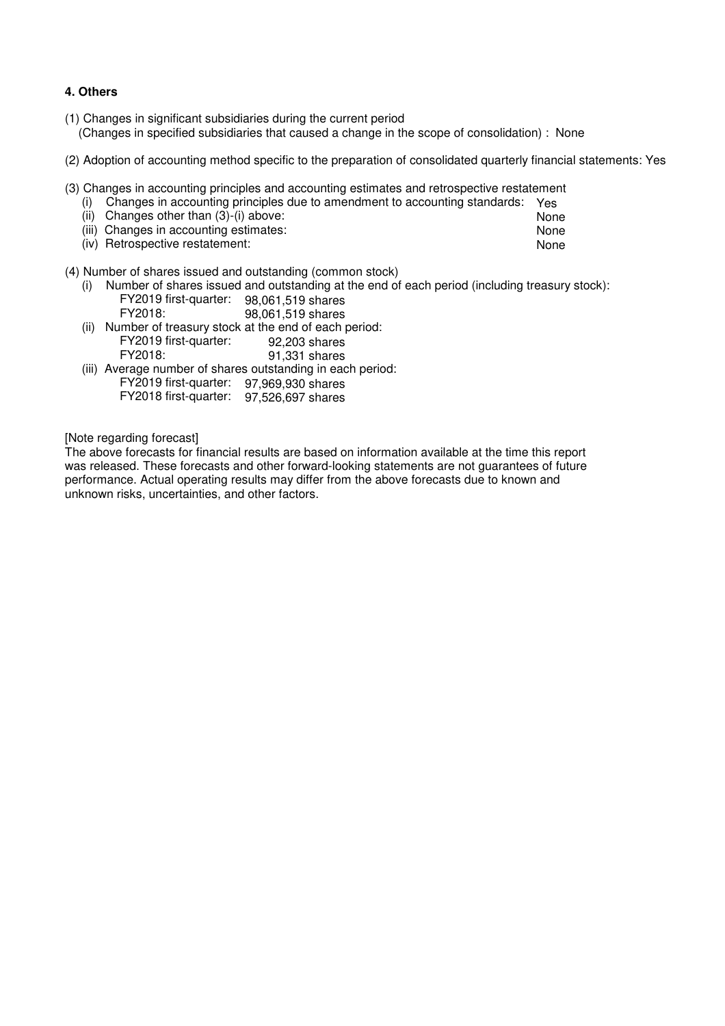### **4. Others**

- (1) Changes in significant subsidiaries during the current period (Changes in specified subsidiaries that caused a change in the scope of consolidation) : None
- (2) Adoption of accounting method specific to the preparation of consolidated quarterly financial statements: Yes
- (3) Changes in accounting principles and accounting estimates and retrospective restatement

| (i) Changes in accounting principles due to amendment to accounting standards: Yes |      |
|------------------------------------------------------------------------------------|------|
| (ii) Changes other than $(3)-(i)$ above:                                           | None |
| (iii) Changes in accounting estimates:                                             | None |

(iv) Retrospective restatement: None

#### (4) Number of shares issued and outstanding (common stock)

 (i) Number of shares issued and outstanding at the end of each period (including treasury stock): FY2019 first-quarter: 98,061,519 shares

| FY2018: | 98,061,519 shares                                        |  |
|---------|----------------------------------------------------------|--|
|         | (ii) Number of treasury stock at the end of each period: |  |

- FY2019 first-quarter: 92,203 shares 91,331 shares
- (iii) Average number of shares outstanding in each period: FY2019 first-quarter: 97,969,930 shares FY2018 first-quarter: 97,526,697 shares

[Note regarding forecast]

The above forecasts for financial results are based on information available at the time this report was released. These forecasts and other forward-looking statements are not guarantees of future performance. Actual operating results may differ from the above forecasts due to known and unknown risks, uncertainties, and other factors.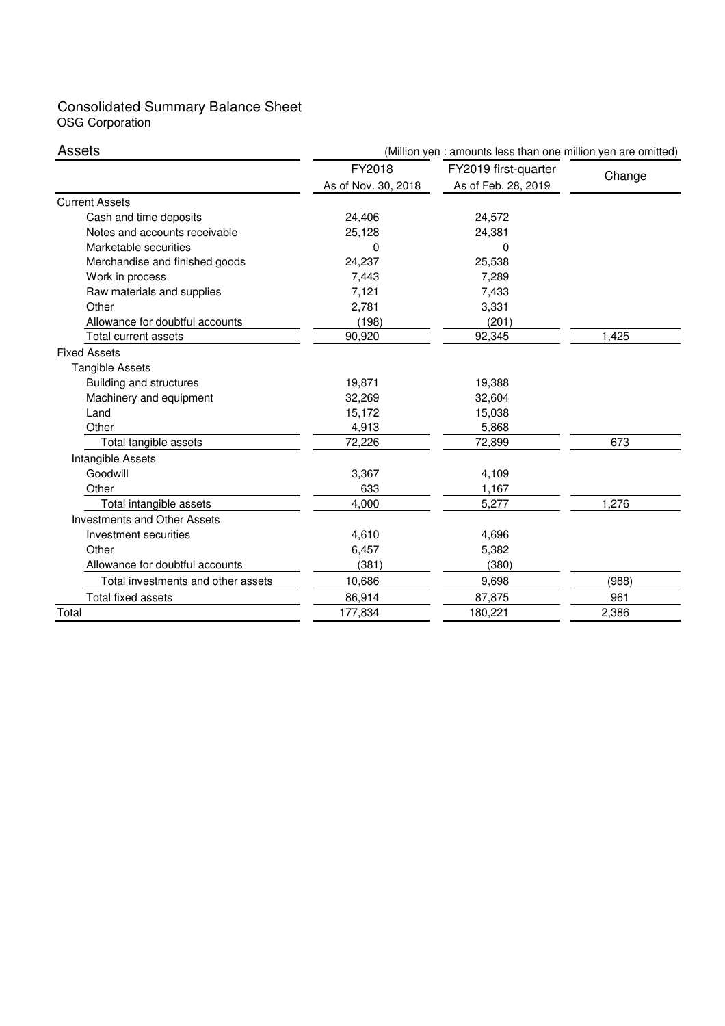### Consolidated Summary Balance Sheet OSG Corporation

| Assets                              | (Million yen : amounts less than one million yen are omitted) |                      |        |  |  |
|-------------------------------------|---------------------------------------------------------------|----------------------|--------|--|--|
|                                     | FY2018                                                        | FY2019 first-quarter | Change |  |  |
|                                     | As of Nov. 30, 2018                                           | As of Feb. 28, 2019  |        |  |  |
| <b>Current Assets</b>               |                                                               |                      |        |  |  |
| Cash and time deposits              | 24,406                                                        | 24,572               |        |  |  |
| Notes and accounts receivable       | 25,128                                                        | 24,381               |        |  |  |
| Marketable securities               | 0                                                             | 0                    |        |  |  |
| Merchandise and finished goods      | 24,237                                                        | 25,538               |        |  |  |
| Work in process                     | 7,443                                                         | 7,289                |        |  |  |
| Raw materials and supplies          | 7,121                                                         | 7,433                |        |  |  |
| Other                               | 2,781                                                         | 3,331                |        |  |  |
| Allowance for doubtful accounts     | (198)                                                         | (201)                |        |  |  |
| Total current assets                | 90,920                                                        | 92,345               | 1,425  |  |  |
| <b>Fixed Assets</b>                 |                                                               |                      |        |  |  |
| <b>Tangible Assets</b>              |                                                               |                      |        |  |  |
| Building and structures             | 19,871                                                        | 19,388               |        |  |  |
| Machinery and equipment             | 32,269                                                        | 32,604               |        |  |  |
| Land                                | 15,172                                                        | 15,038               |        |  |  |
| Other                               | 4,913                                                         | 5,868                |        |  |  |
| Total tangible assets               | 72,226                                                        | 72,899               | 673    |  |  |
| Intangible Assets                   |                                                               |                      |        |  |  |
| Goodwill                            | 3,367                                                         | 4,109                |        |  |  |
| Other                               | 633                                                           | 1,167                |        |  |  |
| Total intangible assets             | 4,000                                                         | 5,277                | 1,276  |  |  |
| <b>Investments and Other Assets</b> |                                                               |                      |        |  |  |
| Investment securities               | 4,610                                                         | 4,696                |        |  |  |
| Other                               | 6,457                                                         | 5,382                |        |  |  |
| Allowance for doubtful accounts     | (381)                                                         | (380)                |        |  |  |
| Total investments and other assets  | 10,686                                                        | 9,698                | (988)  |  |  |
| Total fixed assets                  | 86,914                                                        | 87,875               | 961    |  |  |
| Total                               | 177,834                                                       | 180,221              | 2,386  |  |  |
|                                     |                                                               |                      |        |  |  |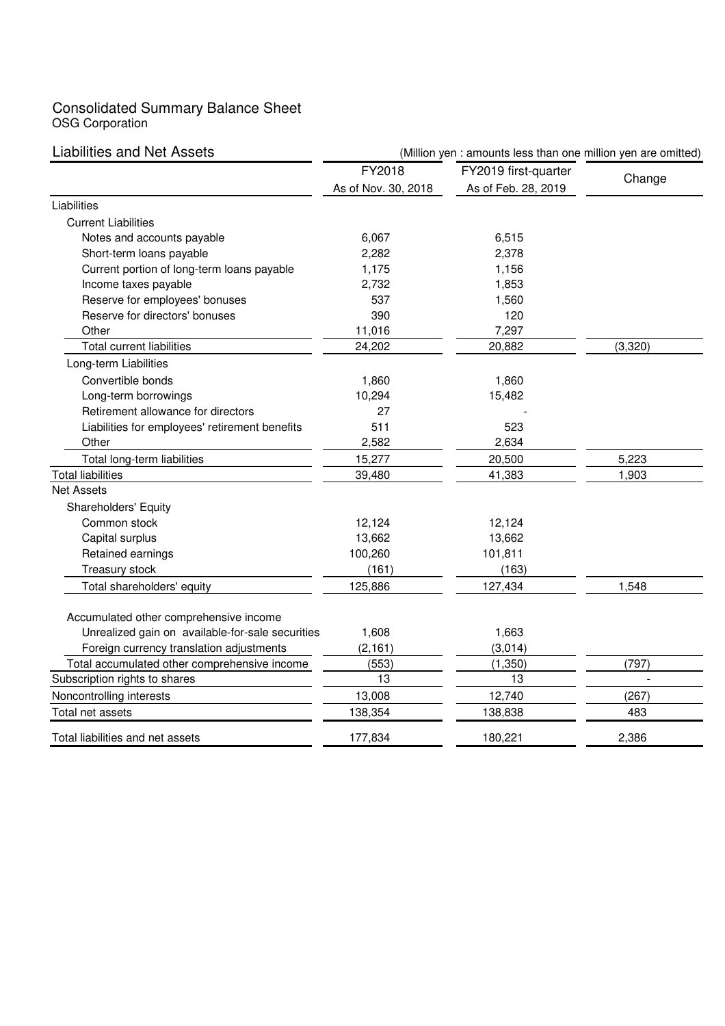## Consolidated Summary Balance Sheet OSG Corporation

| <b>Liabilities and Net Assets</b>                | (Million yen : amounts less than one million yen are omitted) |                      |              |  |  |
|--------------------------------------------------|---------------------------------------------------------------|----------------------|--------------|--|--|
|                                                  | FY2018                                                        | FY2019 first-quarter |              |  |  |
|                                                  | As of Nov. 30, 2018                                           | As of Feb. 28, 2019  | Change       |  |  |
| Liabilities                                      |                                                               |                      |              |  |  |
| <b>Current Liabilities</b>                       |                                                               |                      |              |  |  |
| Notes and accounts payable                       | 6,067                                                         | 6,515                |              |  |  |
| Short-term loans payable                         | 2,282                                                         | 2,378                |              |  |  |
| Current portion of long-term loans payable       | 1,175                                                         | 1,156                |              |  |  |
| Income taxes payable                             | 2,732                                                         | 1,853                |              |  |  |
| Reserve for employees' bonuses                   | 537                                                           | 1,560                |              |  |  |
| Reserve for directors' bonuses                   | 390                                                           | 120                  |              |  |  |
| Other                                            | 11,016                                                        | 7,297                |              |  |  |
| <b>Total current liabilities</b>                 | 24,202                                                        | 20,882               | (3,320)      |  |  |
| Long-term Liabilities                            |                                                               |                      |              |  |  |
| Convertible bonds                                | 1,860                                                         | 1,860                |              |  |  |
| Long-term borrowings                             | 10,294                                                        | 15,482               |              |  |  |
| Retirement allowance for directors               | 27                                                            |                      |              |  |  |
| Liabilities for employees' retirement benefits   | 511                                                           | 523                  |              |  |  |
| Other                                            | 2,582                                                         | 2,634                |              |  |  |
| Total long-term liabilities                      | 15,277                                                        | 20,500               | 5,223        |  |  |
| <b>Total liabilities</b>                         | 39,480                                                        | 41,383               | 1,903        |  |  |
| <b>Net Assets</b>                                |                                                               |                      |              |  |  |
| Shareholders' Equity                             |                                                               |                      |              |  |  |
| Common stock                                     | 12,124                                                        | 12,124               |              |  |  |
| Capital surplus                                  | 13,662                                                        | 13,662               |              |  |  |
| Retained earnings                                | 100,260                                                       | 101,811              |              |  |  |
| Treasury stock                                   | (161)                                                         | (163)                |              |  |  |
| Total shareholders' equity                       | 125,886                                                       | 127,434              | 1,548        |  |  |
| Accumulated other comprehensive income           |                                                               |                      |              |  |  |
| Unrealized gain on available-for-sale securities | 1,608                                                         | 1,663                |              |  |  |
| Foreign currency translation adjustments         | (2, 161)                                                      | (3,014)              |              |  |  |
| Total accumulated other comprehensive income     | (553)                                                         | (1, 350)             | (797)        |  |  |
| Subscription rights to shares                    | 13                                                            | 13                   |              |  |  |
| Noncontrolling interests                         | 13,008                                                        | 12,740               |              |  |  |
| Total net assets                                 | 138,354                                                       | 138,838              | (267)<br>483 |  |  |
|                                                  |                                                               |                      |              |  |  |
| Total liabilities and net assets                 | 177,834                                                       | 180,221              | 2,386        |  |  |
|                                                  |                                                               |                      |              |  |  |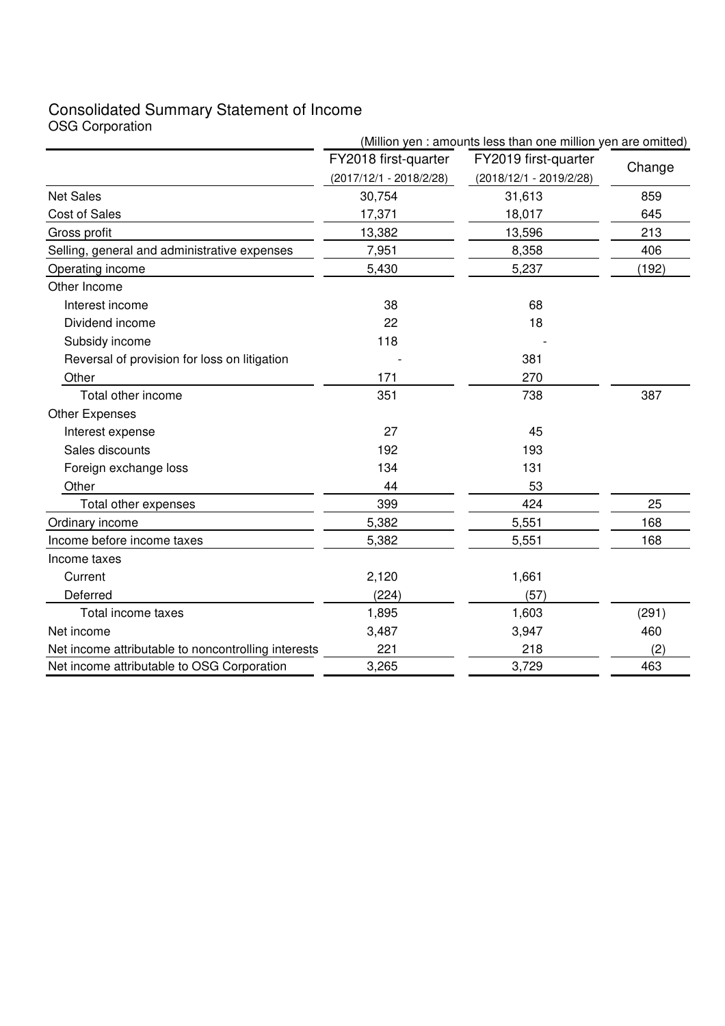# Consolidated Summary Statement of Income OSG Corporation

| <b>OUG OUI PURINHI</b>                              | (Million yen : amounts less than one million yen are omitted) |                           |        |  |  |
|-----------------------------------------------------|---------------------------------------------------------------|---------------------------|--------|--|--|
|                                                     | FY2018 first-quarter                                          | FY2019 first-quarter      |        |  |  |
|                                                     | $(2017/12/1 - 2018/2/28)$                                     | $(2018/12/1 - 2019/2/28)$ | Change |  |  |
| <b>Net Sales</b>                                    | 30,754                                                        | 31,613                    | 859    |  |  |
| Cost of Sales                                       | 17,371                                                        | 18,017                    | 645    |  |  |
| Gross profit                                        | 13,382                                                        | 13,596                    | 213    |  |  |
| Selling, general and administrative expenses        | 7,951                                                         | 8,358                     | 406    |  |  |
| Operating income                                    | 5,430                                                         | 5,237                     | (192)  |  |  |
| Other Income                                        |                                                               |                           |        |  |  |
| Interest income                                     | 38                                                            | 68                        |        |  |  |
| Dividend income                                     | 22                                                            | 18                        |        |  |  |
| Subsidy income                                      | 118                                                           |                           |        |  |  |
| Reversal of provision for loss on litigation        |                                                               | 381                       |        |  |  |
| Other                                               | 171                                                           | 270                       |        |  |  |
| Total other income                                  | 351                                                           | 738                       | 387    |  |  |
| <b>Other Expenses</b>                               |                                                               |                           |        |  |  |
| Interest expense                                    | 27                                                            | 45                        |        |  |  |
| Sales discounts                                     | 192                                                           | 193                       |        |  |  |
| Foreign exchange loss                               | 134                                                           | 131                       |        |  |  |
| Other                                               | 44                                                            | 53                        |        |  |  |
| Total other expenses                                | 399                                                           | 424                       | 25     |  |  |
| Ordinary income                                     | 5,382                                                         | 5,551                     | 168    |  |  |
| Income before income taxes                          | 5,382                                                         | 5,551                     | 168    |  |  |
| Income taxes                                        |                                                               |                           |        |  |  |
| Current                                             | 2,120                                                         | 1,661                     |        |  |  |
| Deferred                                            | (224)                                                         | (57)                      |        |  |  |
| Total income taxes                                  | 1,895                                                         | 1,603                     | (291)  |  |  |
| Net income                                          | 3,487                                                         | 3,947                     | 460    |  |  |
| Net income attributable to noncontrolling interests | 221                                                           | 218                       | (2)    |  |  |
| Net income attributable to OSG Corporation          | 3,265                                                         | 3,729                     | 463    |  |  |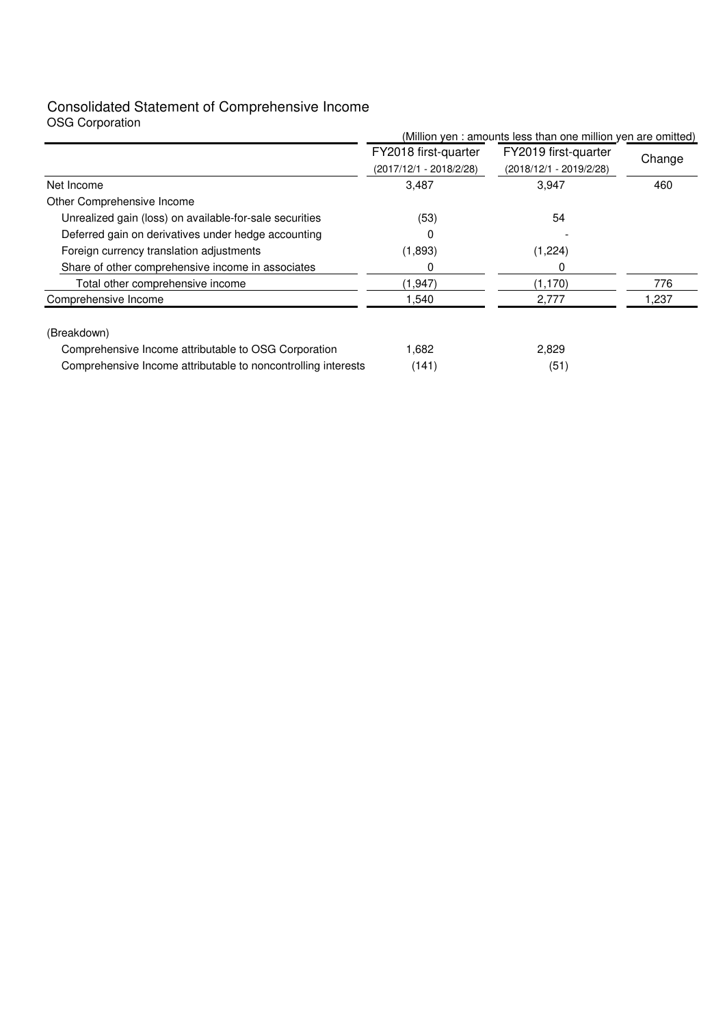# Consolidated Statement of Comprehensive Income

| <b>OSG Corporation</b>                                        |                                                 |                                                               |        |
|---------------------------------------------------------------|-------------------------------------------------|---------------------------------------------------------------|--------|
|                                                               |                                                 | (Million yen : amounts less than one million yen are omitted) |        |
|                                                               | FY2018 first-quarter<br>(2017/12/1 - 2018/2/28) | FY2019 first-quarter<br>(2018/12/1 - 2019/2/28)               | Change |
| Net Income                                                    | 3,487                                           | 3,947                                                         | 460    |
| Other Comprehensive Income                                    |                                                 |                                                               |        |
| Unrealized gain (loss) on available-for-sale securities       | (53)                                            | 54                                                            |        |
| Deferred gain on derivatives under hedge accounting           | 0                                               |                                                               |        |
| Foreign currency translation adjustments                      | (1,893)                                         | (1,224)                                                       |        |
| Share of other comprehensive income in associates             | 0                                               | O                                                             |        |
| Total other comprehensive income                              | (1,947)                                         | (1, 170)                                                      | 776    |
| Comprehensive Income                                          | 1,540                                           | 2,777                                                         | 1,237  |
| (Breakdown)                                                   |                                                 |                                                               |        |
| Comprehensive Income attributable to OSG Corporation          | 1,682                                           | 2,829                                                         |        |
| Comprehensive Income attributable to noncontrolling interests | (141)                                           | (51)                                                          |        |